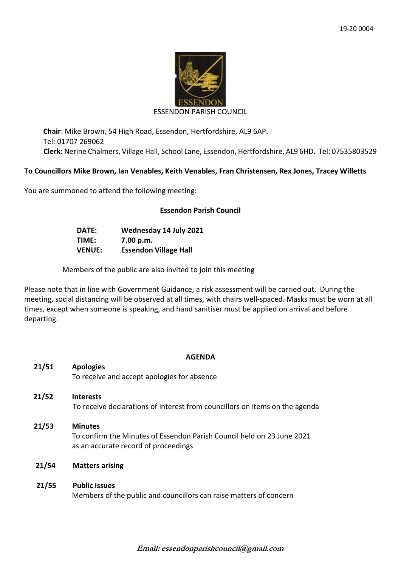

#### ESSENDON PARISH COUNCIL

**Chair**: Mike Brown, 54 High Road, Essendon, Hertfordshire, AL9 6AP. Tel: 01707 269062 **Clerk:** Nerine Chalmers, Village Hall, School Lane, Essendon, Hertfordshire, AL9 6HD. Tel: 07535803529

## **To Councillors Mike Brown, Ian Venables, Keith Venables, Fran Christensen, Rex Jones, Tracey Willetts**

You are summoned to attend the following meeting:

# **Essendon Parish Council**

| DATE:         | Wednesday 14 July 2021       |
|---------------|------------------------------|
| TIME:         | 7.00 p.m.                    |
| <b>VENUE:</b> | <b>Essendon Village Hall</b> |

Members of the public are also invited to join this meeting

Please note that in line with Government Guidance, a risk assessment will be carried out. During the meeting, social distancing will be observed at all times, with chairs well-spaced. Masks must be worn at all times, except when someone is speaking, and hand sanitiser must be applied on arrival and before departing.

### **AGENDA**

| 21/51 | <b>Apologies</b>                                                                           |
|-------|--------------------------------------------------------------------------------------------|
|       | To receive and accept apologies for absence                                                |
| 21/52 | <b>Interests</b>                                                                           |
|       | To receive declarations of interest from councillors on items on the agenda                |
| 21/53 | <b>Minutes</b><br>To confirm the Minutes of Essendon Parish Council held on 23 June 2021   |
|       | as an accurate record of proceedings                                                       |
| 21/54 | <b>Matters arising</b>                                                                     |
|       |                                                                                            |
| 21/55 | <b>Public Issues</b><br>Members of the public and councillors can raise matters of concern |
|       |                                                                                            |

**Email: essendonparishcouncil@gmail.com**